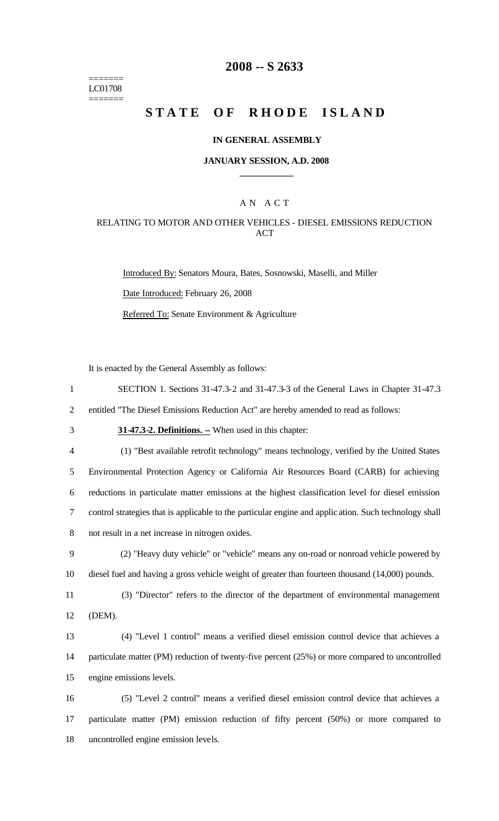======= LC01708 =======

## **2008 -- S 2633**

# **STATE OF RHODE ISLAND**

#### **IN GENERAL ASSEMBLY**

### **JANUARY SESSION, A.D. 2008 \_\_\_\_\_\_\_\_\_\_\_\_**

## A N A C T

## RELATING TO MOTOR AND OTHER VEHICLES - DIESEL EMISSIONS REDUCTION ACT

Introduced By: Senators Moura, Bates, Sosnowski, Maselli, and Miller Date Introduced: February 26, 2008 Referred To: Senate Environment & Agriculture

It is enacted by the General Assembly as follows:

1 SECTION 1. Sections 31-47.3-2 and 31-47.3-3 of the General Laws in Chapter 31-47.3

2 entitled "The Diesel Emissions Reduction Act" are hereby amended to read as follows:

3 **31-47.3-2. Definitions.** - When used in this chapter:

4 (1) "Best available retrofit technology" means technology, verified by the United States Environmental Protection Agency or California Air Resources Board (CARB) for achieving reductions in particulate matter emissions at the highest classification level for diesel emission control strategies that is applicable to the particular engine and applic ation. Such technology shall not result in a net increase in nitrogen oxides.

9 (2) "Heavy duty vehicle" or "vehicle" means any on-road or nonroad vehicle powered by 10 diesel fuel and having a gross vehicle weight of greater than fourteen thousand (14,000) pounds.

11 (3) "Director" refers to the director of the department of environmental management 12 (DEM).

13 (4) "Level 1 control" means a verified diesel emission control device that achieves a 14 particulate matter (PM) reduction of twenty-five percent (25%) or more compared to uncontrolled 15 engine emissions levels.

16 (5) "Level 2 control" means a verified diesel emission control device that achieves a 17 particulate matter (PM) emission reduction of fifty percent (50%) or more compared to 18 uncontrolled engine emission levels.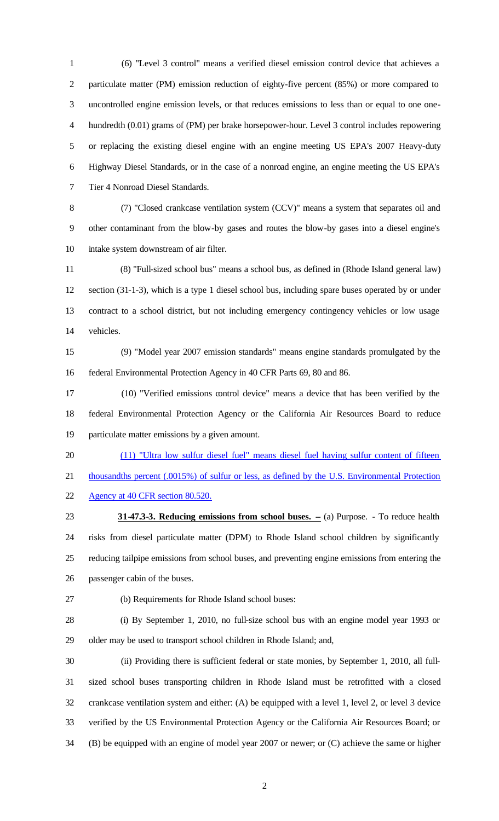1 (6) "Level 3 control" means a verified diesel emission control device that achieves a particulate matter (PM) emission reduction of eighty-five percent (85%) or more compared to uncontrolled engine emission levels, or that reduces emissions to less than or equal to one one- hundredth (0.01) grams of (PM) per brake horsepower-hour. Level 3 control includes repowering or replacing the existing diesel engine with an engine meeting US EPA's 2007 Heavy-duty Highway Diesel Standards, or in the case of a nonroad engine, an engine meeting the US EPA's Tier 4 Nonroad Diesel Standards.

8 (7) "Closed crankcase ventilation system (CCV)" means a system that separates oil and other contaminant from the blow-by gases and routes the blow-by gases into a diesel engine's intake system downstream of air filter.

11 (8) "Full-sized school bus" means a school bus, as defined in (Rhode Island general law) section (31-1-3), which is a type 1 diesel school bus, including spare buses operated by or under contract to a school district, but not including emergency contingency vehicles or low usage vehicles.

15 (9) "Model year 2007 emission standards" means engine standards promulgated by the federal Environmental Protection Agency in 40 CFR Parts 69, 80 and 86.

17 (10) "Verified emissions control device" means a device that has been verified by the federal Environmental Protection Agency or the California Air Resources Board to reduce particulate matter emissions by a given amount.

(11) "Ultra low sulfur diesel fuel" means diesel fuel having sulfur content of fifteen

 thousandths percent (.0015%) of sulfur or less, as defined by the U.S. Environmental Protection Agency at 40 CFR section 80.520.

**31-47.3-3. Reducing emissions from school buses.** -- (a) Purpose. - To reduce health risks from diesel particulate matter (DPM) to Rhode Island school children by significantly reducing tailpipe emissions from school buses, and preventing engine emissions from entering the passenger cabin of the buses.

27 (b) Requirements for Rhode Island school buses:

28 (i) By September 1, 2010, no full-size school bus with an engine model year 1993 or older may be used to transport school children in Rhode Island; and,

30 (ii) Providing there is sufficient federal or state monies, by September 1, 2010, all full- sized school buses transporting children in Rhode Island must be retrofitted with a closed crankcase ventilation system and either: (A) be equipped with a level 1, level 2, or level 3 device verified by the US Environmental Protection Agency or the California Air Resources Board; or (B) be equipped with an engine of model year 2007 or newer; or (C) achieve the same or higher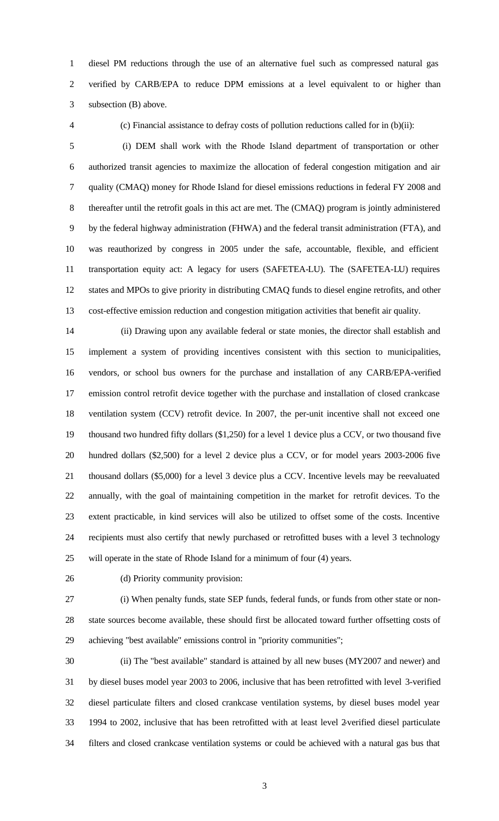diesel PM reductions through the use of an alternative fuel such as compressed natural gas verified by CARB/EPA to reduce DPM emissions at a level equivalent to or higher than subsection (B) above.

4 (c) Financial assistance to defray costs of pollution reductions called for in (b)(ii):

5 (i) DEM shall work with the Rhode Island department of transportation or other authorized transit agencies to maximize the allocation of federal congestion mitigation and air quality (CMAQ) money for Rhode Island for diesel emissions reductions in federal FY 2008 and thereafter until the retrofit goals in this act are met. The (CMAQ) program is jointly administered by the federal highway administration (FHWA) and the federal transit administration (FTA), and was reauthorized by congress in 2005 under the safe, accountable, flexible, and efficient transportation equity act: A legacy for users (SAFETEA-LU). The (SAFETEA-LU) requires states and MPOs to give priority in distributing CMAQ funds to diesel engine retrofits, and other cost-effective emission reduction and congestion mitigation activities that benefit air quality.

14 (ii) Drawing upon any available federal or state monies, the director shall establish and implement a system of providing incentives consistent with this section to municipalities, vendors, or school bus owners for the purchase and installation of any CARB/EPA-verified emission control retrofit device together with the purchase and installation of closed crankcase ventilation system (CCV) retrofit device. In 2007, the per-unit incentive shall not exceed one thousand two hundred fifty dollars (\$1,250) for a level 1 device plus a CCV, or two thousand five hundred dollars (\$2,500) for a level 2 device plus a CCV, or for model years 2003-2006 five thousand dollars (\$5,000) for a level 3 device plus a CCV. Incentive levels may be reevaluated annually, with the goal of maintaining competition in the market for retrofit devices. To the extent practicable, in kind services will also be utilized to offset some of the costs. Incentive recipients must also certify that newly purchased or retrofitted buses with a level 3 technology will operate in the state of Rhode Island for a minimum of four (4) years.

26 (d) Priority community provision:

27 (i) When penalty funds, state SEP funds, federal funds, or funds from other state or non- state sources become available, these should first be allocated toward further offsetting costs of achieving "best available" emissions control in "priority communities";

30 (ii) The "best available" standard is attained by all new buses (MY2007 and newer) and by diesel buses model year 2003 to 2006, inclusive that has been retrofitted with level 3-verified diesel particulate filters and closed crankcase ventilation systems, by diesel buses model year 1994 to 2002, inclusive that has been retrofitted with at least level 2-verified diesel particulate filters and closed crankcase ventilation systems or could be achieved with a natural gas bus that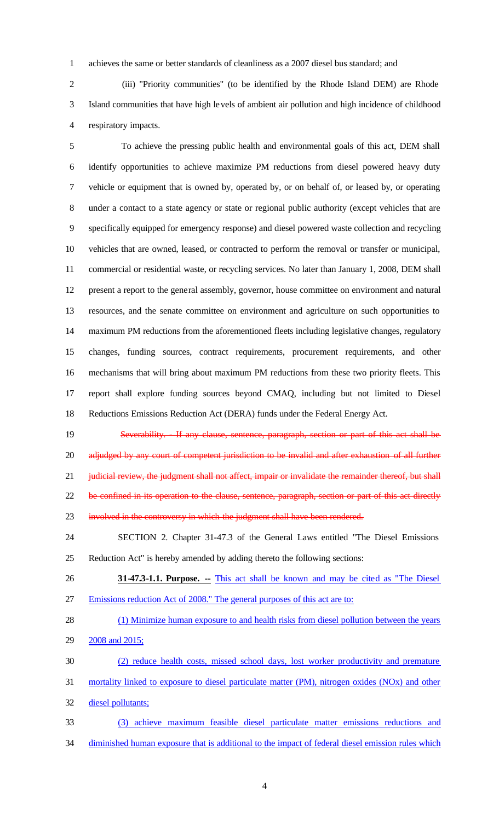achieves the same or better standards of cleanliness as a 2007 diesel bus standard; and

2 (iii) "Priority communities" (to be identified by the Rhode Island DEM) are Rhode Island communities that have high levels of ambient air pollution and high incidence of childhood respiratory impacts.

5 To achieve the pressing public health and environmental goals of this act, DEM shall identify opportunities to achieve maximize PM reductions from diesel powered heavy duty vehicle or equipment that is owned by, operated by, or on behalf of, or leased by, or operating under a contact to a state agency or state or regional public authority (except vehicles that are specifically equipped for emergency response) and diesel powered waste collection and recycling vehicles that are owned, leased, or contracted to perform the removal or transfer or municipal, commercial or residential waste, or recycling services. No later than January 1, 2008, DEM shall present a report to the general assembly, governor, house committee on environment and natural resources, and the senate committee on environment and agriculture on such opportunities to maximum PM reductions from the aforementioned fleets including legislative changes, regulatory changes, funding sources, contract requirements, procurement requirements, and other mechanisms that will bring about maximum PM reductions from these two priority fleets. This report shall explore funding sources beyond CMAQ, including but not limited to Diesel Reductions Emissions Reduction Act (DERA) funds under the Federal Energy Act.

19 Severability. If any clause, sentence, paragraph, section or part of this act shall be 20 adjudged by any court of competent jurisdiction to be invalid and after exhaustion of all further 21 judicial review, the judgment shall not affect, impair or invalidate the remainder thereof, but shall 22 be confined in its operation to the clause, sentence, paragraph, section or part of this act directly 23 involved in the controversy in which the judgment shall have been rendered.

 SECTION 2. Chapter 31-47.3 of the General Laws entitled "The Diesel Emissions Reduction Act" is hereby amended by adding thereto the following sections:

- **31-47.3-1.1. Purpose. --** This act shall be known and may be cited as "The Diesel Emissions reduction Act of 2008." The general purposes of this act are to:
- 28 (1) Minimize human exposure to and health risks from diesel pollution between the years
- 2008 and 2015;
- (2) reduce health costs, missed school days, lost worker productivity and premature
- mortality linked to exposure to diesel particulate matter (PM), nitrogen oxides (NOx) and other diesel pollutants;
- (3) achieve maximum feasible diesel particulate matter emissions reductions and 34 diminished human exposure that is additional to the impact of federal diesel emission rules which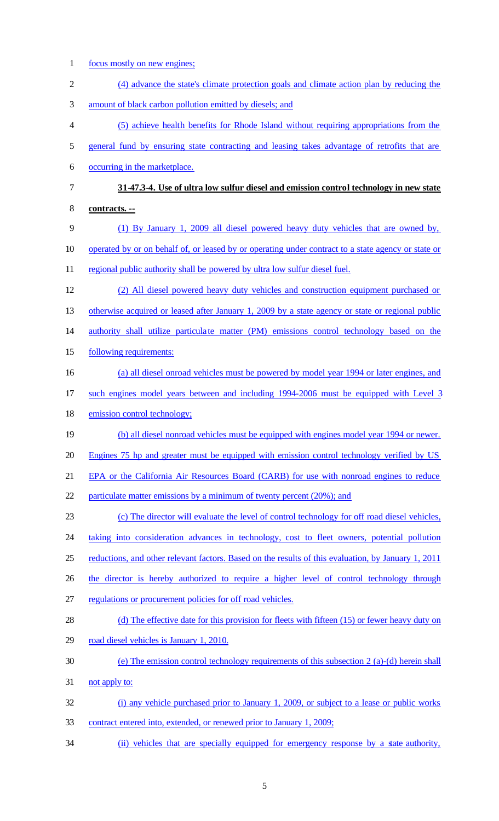focus mostly on new engines; (4) advance the state's climate protection goals and climate action plan by reducing the amount of black carbon pollution emitted by diesels; and (5) achieve health benefits for Rhode Island without requiring appropriations from the general fund by ensuring state contracting and leasing takes advantage of retrofits that are occurring in the marketplace. **31-47.3-4. Use of ultra low sulfur diesel and emission control technology in new state contracts. --** (1) By January 1, 2009 all diesel powered heavy duty vehicles that are owned by, operated by or on behalf of, or leased by or operating under contract to a state agency or state or 11 regional public authority shall be powered by ultra low sulfur diesel fuel. (2) All diesel powered heavy duty vehicles and construction equipment purchased or 13 otherwise acquired or leased after January 1, 2009 by a state agency or state or regional public 14 authority shall utilize particulate matter (PM) emissions control technology based on the following requirements: (a) all diesel onroad vehicles must be powered by model year 1994 or later engines, and such engines model years between and including 1994-2006 must be equipped with Level 3 emission control technology; (b) all diesel nonroad vehicles must be equipped with engines model year 1994 or newer. 20 Engines 75 hp and greater must be equipped with emission control technology verified by US EPA or the California Air Resources Board (CARB) for use with nonroad engines to reduce particulate matter emissions by a minimum of twenty percent (20%); and (c) The director will evaluate the level of control technology for off road diesel vehicles, taking into consideration advances in technology, cost to fleet owners, potential pollution reductions, and other relevant factors. Based on the results of this evaluation, by January 1, 2011 26 the director is hereby authorized to require a higher level of control technology through regulations or procurement policies for off road vehicles. 28 (d) The effective date for this provision for fleets with fifteen (15) or fewer heavy duty on road diesel vehicles is January 1, 2010. (e) The emission control technology requirements of this subsection 2 (a)-(d) herein shall not apply to: (i) any vehicle purchased prior to January 1, 2009, or subject to a lease or public works contract entered into, extended, or renewed prior to January 1, 2009; (ii) vehicles that are specially equipped for emergency response by a state authority,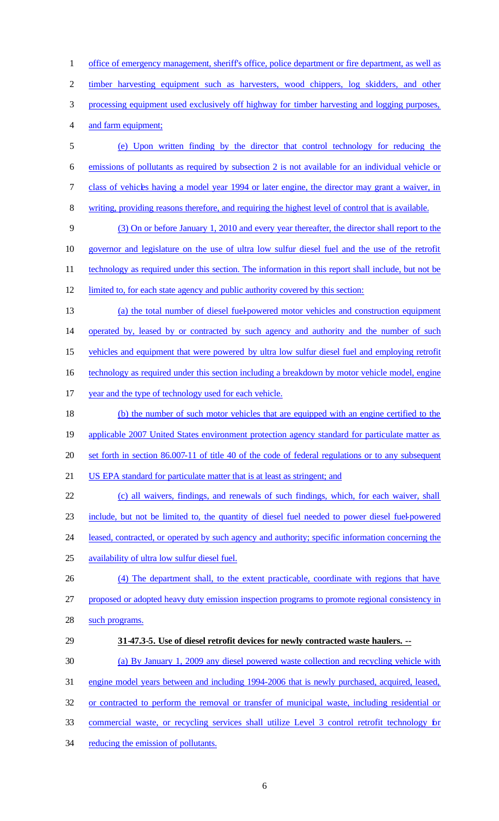office of emergency management, sheriff's office, police department or fire department, as well as timber harvesting equipment such as harvesters, wood chippers, log skidders, and other processing equipment used exclusively off highway for timber harvesting and logging purposes, and farm equipment;

- (e) Upon written finding by the director that control technology for reducing the emissions of pollutants as required by subsection 2 is not available for an individual vehicle or 7 class of vehicles having a model year 1994 or later engine, the director may grant a waiver, in
- writing, providing reasons therefore, and requiring the highest level of control that is available.

 (3) On or before January 1, 2010 and every year thereafter, the director shall report to the governor and legislature on the use of ultra low sulfur diesel fuel and the use of the retrofit 11 technology as required under this section. The information in this report shall include, but not be limited to, for each state agency and public authority covered by this section:

(a) the total number of diesel fuel-powered motor vehicles and construction equipment

 operated by, leased by or contracted by such agency and authority and the number of such 15 vehicles and equipment that were powered by ultra low sulfur diesel fuel and employing retrofit

16 technology as required under this section including a breakdown by motor vehicle model, engine

- 
- year and the type of technology used for each vehicle.

 (b) the number of such motor vehicles that are equipped with an engine certified to the applicable 2007 United States environment protection agency standard for particulate matter as set forth in section 86.007-11 of title 40 of the code of federal regulations or to any subsequent US EPA standard for particulate matter that is at least as stringent; and

- (c) all waivers, findings, and renewals of such findings, which, for each waiver, shall include, but not be limited to, the quantity of diesel fuel needed to power diesel fuel-powered leased, contracted, or operated by such agency and authority; specific information concerning the availability of ultra low sulfur diesel fuel.
- (4) The department shall, to the extent practicable, coordinate with regions that have proposed or adopted heavy duty emission inspection programs to promote regional consistency in
- 28 such programs.
- **31-47.3-5. Use of diesel retrofit devices for newly contracted waste haulers. --**
- (a) By January 1, 2009 any diesel powered waste collection and recycling vehicle with
- engine model years between and including 1994-2006 that is newly purchased, acquired, leased,
- or contracted to perform the removal or transfer of municipal waste, including residential or
- commercial waste, or recycling services shall utilize Level 3 control retrofit technology for
- 34 reducing the emission of pollutants.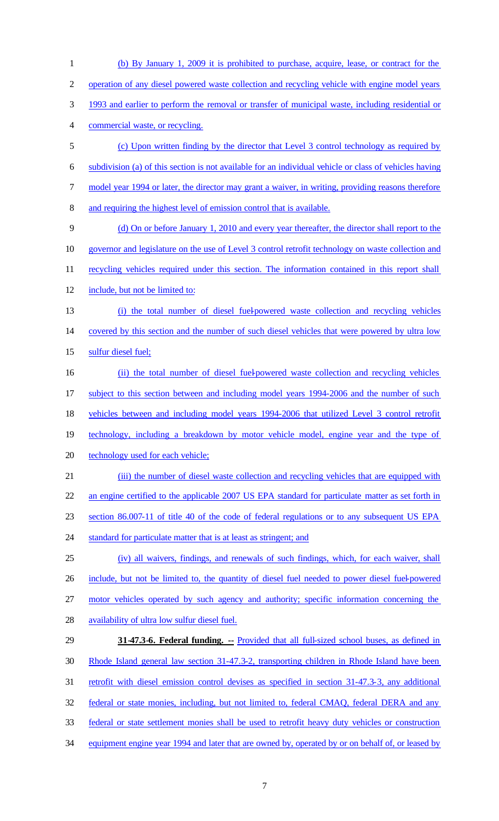(b) By January 1, 2009 it is prohibited to purchase, acquire, lease, or contract for the operation of any diesel powered waste collection and recycling vehicle with engine model years 1993 and earlier to perform the removal or transfer of municipal waste, including residential or commercial waste, or recycling. (c) Upon written finding by the director that Level 3 control technology as required by subdivision (a) of this section is not available for an individual vehicle or class of vehicles having 7 model year 1994 or later, the director may grant a waiver, in writing, providing reasons therefore and requiring the highest level of emission control that is available. (d) On or before January 1, 2010 and every year thereafter, the director shall report to the 10 governor and legislature on the use of Level 3 control retrofit technology on waste collection and 11 recycling vehicles required under this section. The information contained in this report shall include, but not be limited to: (i) the total number of diesel fuel-powered waste collection and recycling vehicles covered by this section and the number of such diesel vehicles that were powered by ultra low sulfur diesel fuel; (ii) the total number of diesel fuel-powered waste collection and recycling vehicles subject to this section between and including model years 1994-2006 and the number of such vehicles between and including model years 1994-2006 that utilized Level 3 control retrofit technology, including a breakdown by motor vehicle model, engine year and the type of technology used for each vehicle; (iii) the number of diesel waste collection and recycling vehicles that are equipped with an engine certified to the applicable 2007 US EPA standard for particulate matter as set forth in section 86.007-11 of title 40 of the code of federal regulations or to any subsequent US EPA 24 standard for particulate matter that is at least as stringent; and (iv) all waivers, findings, and renewals of such findings, which, for each waiver, shall include, but not be limited to, the quantity of diesel fuel needed to power diesel fuel-powered motor vehicles operated by such agency and authority; specific information concerning the availability of ultra low sulfur diesel fuel. **31-47.3-6. Federal funding. --** Provided that all full-sized school buses, as defined in Rhode Island general law section 31-47.3-2, transporting children in Rhode Island have been 31 retrofit with diesel emission control devises as specified in section 31-47.3-3, any additional federal or state monies, including, but not limited to, federal CMAQ, federal DERA and any federal or state settlement monies shall be used to retrofit heavy duty vehicles or construction equipment engine year 1994 and later that are owned by, operated by or on behalf of, or leased by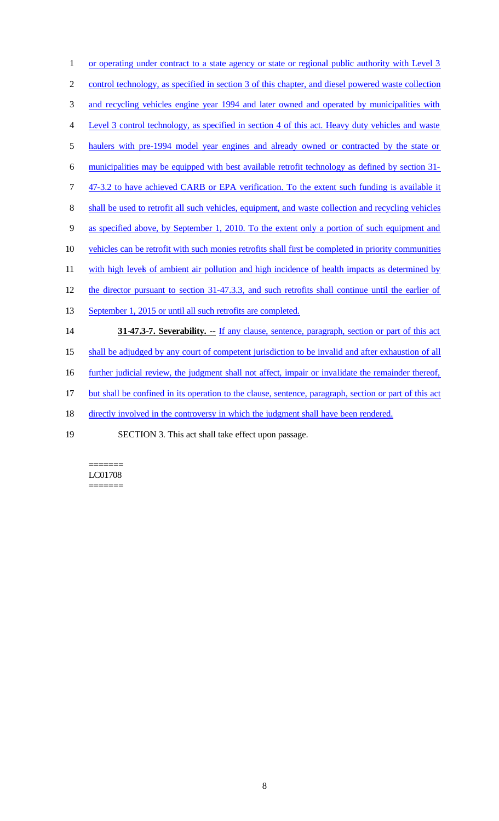1 or operating under contract to a state agency or state or regional public authority with Level 3 control technology, as specified in section 3 of this chapter, and diesel powered waste collection and recycling vehicles engine year 1994 and later owned and operated by municipalities with Level 3 control technology, as specified in section 4 of this act. Heavy duty vehicles and waste haulers with pre-1994 model year engines and already owned or contracted by the state or municipalities may be equipped with best available retrofit technology as defined by section 31- 7 47-3.2 to have achieved CARB or EPA verification. To the extent such funding is available it 8 shall be used to retrofit all such vehicles, equipment, and waste collection and recycling vehicles as specified above, by September 1, 2010. To the extent only a portion of such equipment and vehicles can be retrofit with such monies retrofits shall first be completed in priority communities 11 with high levels of ambient air pollution and high incidence of health impacts as determined by the director pursuant to section 31-47.3.3, and such retrofits shall continue until the earlier of September 1, 2015 or until all such retrofits are completed. **31-47.3-7. Severability.** -- If any clause, sentence, paragraph, section or part of this act 15 shall be adjudged by any court of competent jurisdiction to be invalid and after exhaustion of all 16 further judicial review, the judgment shall not affect, impair or invalidate the remainder thereof, but shall be confined in its operation to the clause, sentence, paragraph, section or part of this act 18 directly involved in the controversy in which the judgment shall have been rendered.

19 SECTION 3. This act shall take effect upon passage.

======= LC01708 =======